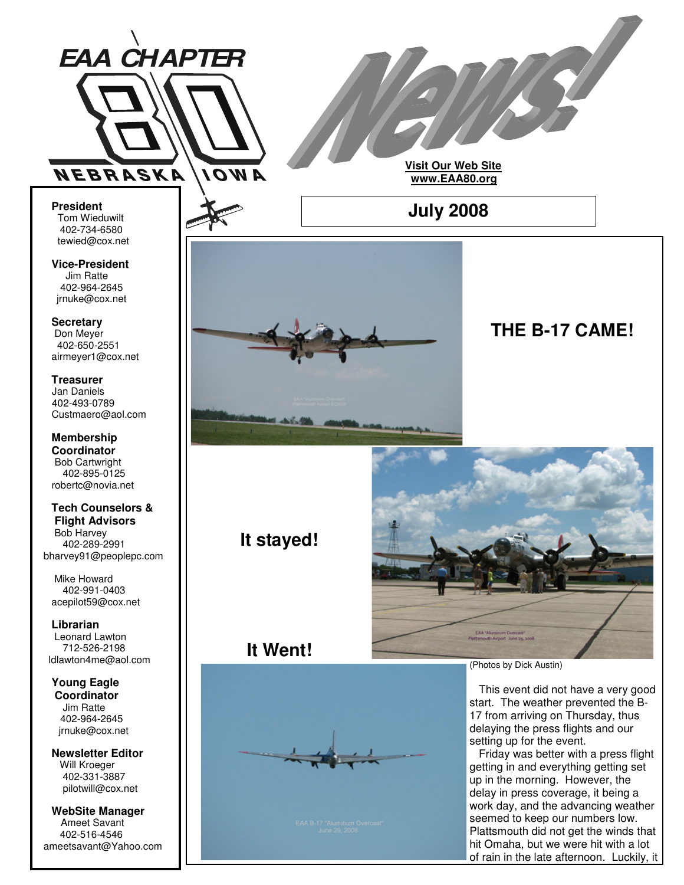

**Visit Our Web Site www.EAA80.org**

**July 2008**

**President** Tom Wieduwilt 402-734-6580 tewied@cox.net

**Vice-President** Jim Ratte 402-964-2645 jrnuke@cox.net

**Secretary** Don Meyer 402-650-2551 airmeyer1@cox.net

**Treasurer** Jan Daniels 402-493-0789 Custmaero@aol.com

**Membership Coordinator** Bob Cartwright 402-895-0125 robertc@novia.net

#### **Tech Counselors & Flight Advisors** Bob Harvey 402-289-2991

bharvey91@peoplepc.com

Mike Howard 402-991-0403 acepilot59@cox.net

**Librarian** Leonard Lawton 712-526-2198 ldlawton4me@aol.com

**Young Eagle Coordinator** Jim Ratte 402-964-2645 jrnuke@cox.net

**Newsletter Editor** Will Kroeger 402-331-3887 pilotwill@cox.net

**WebSite Manager** Ameet Savant 402-516-4546 ameetsavant@Yahoo.com



**THE B-17 CAME!**

### **It stayed!**







(Photos by Dick Austin)

This event did not have a very good start. The weather prevented the B-17 from arriving on Thursday, thus delaying the press flights and our setting up for the event.

Friday was better with a press flight getting in and everything getting set up in the morning. However, the delay in press coverage, it being a work day, and the advancing weather seemed to keep our numbers low. Plattsmouth did not get the winds that hit Omaha, but we were hit with a lot of rain in the late afternoon. Luckily, it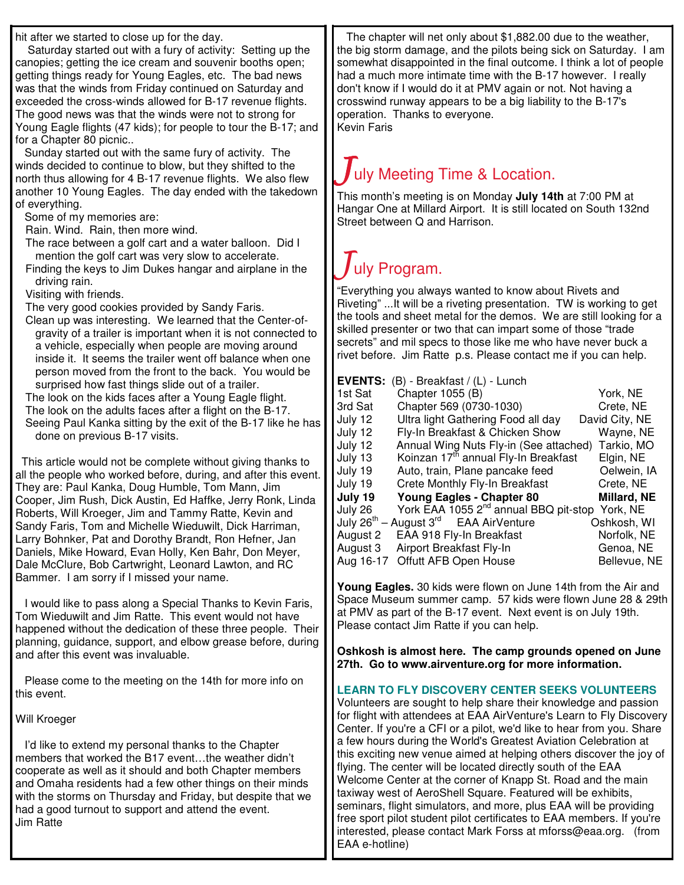hit after we started to close up for the day.

Saturday started out with a fury of activity: Setting up the canopies; getting the ice cream and souvenir booths open; getting things ready for Young Eagles, etc. The bad news was that the winds from Friday continued on Saturday and exceeded the cross-winds allowed for B-17 revenue flights. The good news was that the winds were not to strong for Young Eagle flights (47 kids); for people to tour the B-17; and for a Chapter 80 picnic..

Sunday started out with the same fury of activity. The winds decided to continue to blow, but they shifted to the north thus allowing for 4 B-17 revenue flights. We also flew another 10 Young Eagles. The day ended with the takedown of everything.

Some of my memories are:

Rain. Wind. Rain, then more wind.

- The race between a golf cart and a water balloon. Did I mention the golf cart was very slow to accelerate.
- Finding the keys to Jim Dukes hangar and airplane in the driving rain.

Visiting with friends.

The very good cookies provided by Sandy Faris.

Clean up was interesting. We learned that the Center-ofgravity of a trailer is important when it is not connected to a vehicle, especially when people are moving around inside it. It seems the trailer went off balance when one person moved from the front to the back. You would be surprised how fast things slide out of a trailer.

The look on the kids faces after a Young Eagle flight. The look on the adults faces after a flight on the B-17.

Seeing Paul Kanka sitting by the exit of the B-17 like he has done on previous B-17 visits.

This article would not be complete without giving thanks to all the people who worked before, during, and after this event. They are: Paul Kanka, Doug Humble, Tom Mann, Jim Cooper, Jim Rush, Dick Austin, Ed Haffke, Jerry Ronk, Linda Roberts, Will Kroeger, Jim and Tammy Ratte, Kevin and Sandy Faris, Tom and Michelle Wieduwilt, Dick Harriman, Larry Bohnker, Pat and Dorothy Brandt, Ron Hefner, Jan Daniels, Mike Howard, Evan Holly, Ken Bahr, Don Meyer, Dale McClure, Bob Cartwright, Leonard Lawton, and RC Bammer. I am sorry if I missed your name.

I would like to pass along a Special Thanks to Kevin Faris, Tom Wieduwilt and Jim Ratte. This event would not have happened without the dedication of these three people. Their planning, guidance, support, and elbow grease before, during and after this event was invaluable.

Please come to the meeting on the 14th for more info on this event.

### Will Kroeger

I'd like to extend my personal thanks to the Chapter members that worked the B17 event…the weather didn't cooperate as well as it should and both Chapter members and Omaha residents had a few other things on their minds with the storms on Thursday and Friday, but despite that we had a good turnout to support and attend the event. Jim Ratte

The chapter will net only about \$1,882.00 due to the weather, the big storm damage, and the pilots being sick on Saturday. I am somewhat disappointed in the final outcome. I think a lot of people had a much more intimate time with the B-17 however. I really don't know if I would do it at PMV again or not. Not having a crosswind runway appears to be a big liability to the B-17's operation. Thanks to everyone. Kevin Faris

## uly Meeting Time & Location.

This month's meeting is on Monday **July 14th** at 7:00 PM at Hangar One at Millard Airport. It is still located on South 132nd Street between Q and Harrison.

# July Program.

"Everything you always wanted to know about Rivets and Riveting" ...It will be a riveting presentation. TW is working to get the tools and sheet metal for the demos. We are still looking for a skilled presenter or two that can impart some of those "trade secrets" and mil specs to those like me who have never buck a rivet before. Jim Ratte p.s. Please contact me if you can help.

| <b>EVENTS:</b> | $(B)$ - Breakfast / $(L)$ - Lunch                             |                |
|----------------|---------------------------------------------------------------|----------------|
| 1st Sat        | Chapter 1055 (B)                                              | York, NE       |
| 3rd Sat        | Chapter 569 (0730-1030)                                       | Crete, NE      |
| July 12        | Ultra light Gathering Food all day                            | David City, NE |
| July 12        | Fly-In Breakfast & Chicken Show                               | Wayne, NE      |
| July 12        | Annual Wing Nuts Fly-in (See attached)                        | Tarkio, MO     |
| July 13        | Koinzan 17 <sup>th</sup> annual Fly-In Breakfast              | Elgin, NE      |
| July 19        | Auto, train, Plane pancake feed                               | Oelwein, IA    |
| July 19        | Crete Monthly Fly-In Breakfast                                | Crete, NE      |
| July 19        | Young Eagles - Chapter 80                                     | Millard, NE    |
| July 26        | York EAA 1055 2 <sup>nd</sup> annual BBQ pit-stop             | York, NE       |
|                | July 26 <sup>th</sup> – August 3 <sup>rd</sup> EAA AirVenture | Oshkosh, WI    |
| August 2       | EAA 918 Fly-In Breakfast                                      | Norfolk, NE    |
| August 3       | Airport Breakfast Fly-In                                      | Genoa, NE      |
| Aug 16-17      | Offutt AFB Open House                                         | Bellevue, NE   |
|                |                                                               |                |

**Young Eagles.** 30 kids were flown on June 14th from the Air and Space Museum summer camp. 57 kids were flown June 28 & 29th at PMV as part of the B-17 event. Next event is on July 19th. Please contact Jim Ratte if you can help.

**Oshkosh is almost here. The camp grounds opened on June 27th. Go to www.airventure.org for more information.**

**LEARN TO FLY DISCOVERY CENTER SEEKS VOLUNTEERS**

Volunteers are sought to help share their knowledge and passion for flight with attendees at EAA AirVenture's Learn to Fly Discovery Center. If you're a CFI or a pilot, we'd like to hear from you. Share a few hours during the World's Greatest Aviation Celebration at this exciting new venue aimed at helping others discover the joy of flying. The center will be located directly south of the EAA Welcome Center at the corner of Knapp St. Road and the main taxiway west of AeroShell Square. Featured will be exhibits, seminars, flight simulators, and more, plus EAA will be providing free sport pilot student pilot certificates to EAA members. If you're interested, please contact Mark Forss at mforss@eaa.org. (from EAA e-hotline)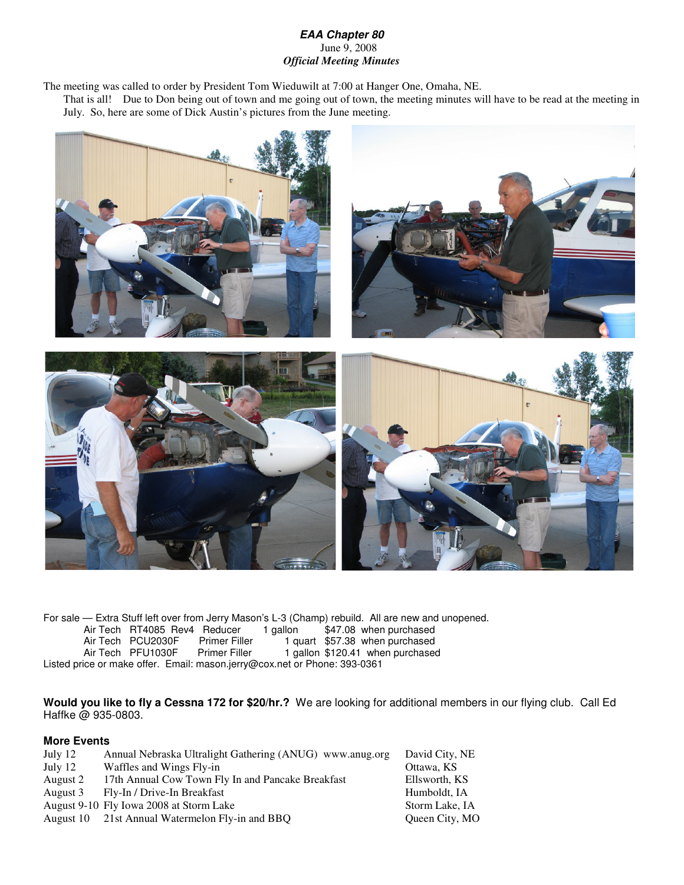### *EAA Chapter 80* June 9, 2008 *Official Meeting Minutes*

The meeting was called to order by President Tom Wieduwilt at 7:00 at Hanger One, Omaha, NE.

That is all! Due to Don being out of town and me going out of town, the meeting minutes will have to be read at the meeting in July. So, here are some of Dick Austin's pictures from the June meeting.



For sale — Extra Stuff left over from Jerry Mason's L-3 (Champ) rebuild. All are new and unopened.<br>Air Tech RT4085 Rev4 Reducer 1 gallon \$47.08 when purchased Air Tech RT4085 Rev4 Reducer 1 gallon<br>Air Tech PCU2030F Primer Filler 1 gu Air Tech PCU2030F Primer Filler 1 quart \$57.38 when purchased<br>Air Tech PFU1030F Primer Filler 1 gallon \$120.41 when purchased 1 gallon \$120.41 when purchased Listed price or make offer. Email: mason.jerry@cox.net or Phone: 393-0361

**Would you like to fly a Cessna 172 for \$20/hr.?** We are looking for additional members in our flying club. Call Ed Haffke @ 935-0803.

### **More Events**

| July 12   | Annual Nebraska Ultralight Gathering (ANUG) www.anug.org | David City, NE |
|-----------|----------------------------------------------------------|----------------|
| July $12$ | Waffles and Wings Fly-in                                 | Ottawa, KS     |
| August 2  | 17th Annual Cow Town Fly In and Pancake Breakfast        | Ellsworth, KS  |
| August 3  | Fly-In / Drive-In Breakfast                              | Humboldt. IA   |
|           | August 9-10 Fly Iowa 2008 at Storm Lake                  | Storm Lake, IA |

- August 10 21st Annual Watermelon Fly-in and BBQ Queen City, MO
-